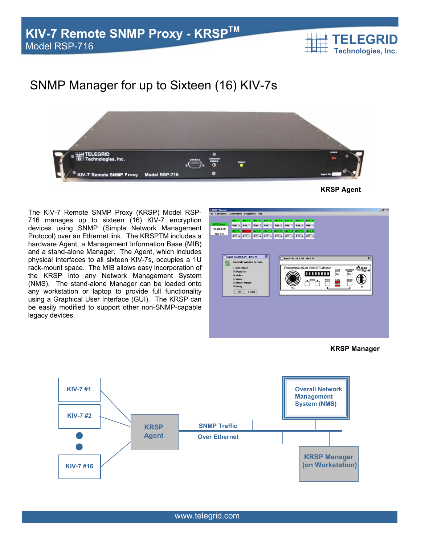

## SNMP Manager for up to Sixteen (16) KIV-7s



**KRSP Agent** 

The KIV-7 Remote SNMP Proxy (KRSP) Model RSP-716 manages up to sixteen (16) KIV-7 encryption devices using SNMP (Simple Network Management Protocol) over an Ethernet link. The KRSPTM includes a hardware Agent, a Management Information Base (MIB) and a stand-alone Manager. The Agent, which includes physical interfaces to all sixteen KIV-7s, occupies a 1U rack-mount space. The MIB allows easy incorporation of the KRSP into any Network Management System (NMS). The stand-alone Manager can be loaded onto any workstation or laptop to provide full functionality using a Graphical User Interface (GUI). The KRSP can be easily modified to support other non-SNMP-capable legacy devices.



**KRSP Manager**